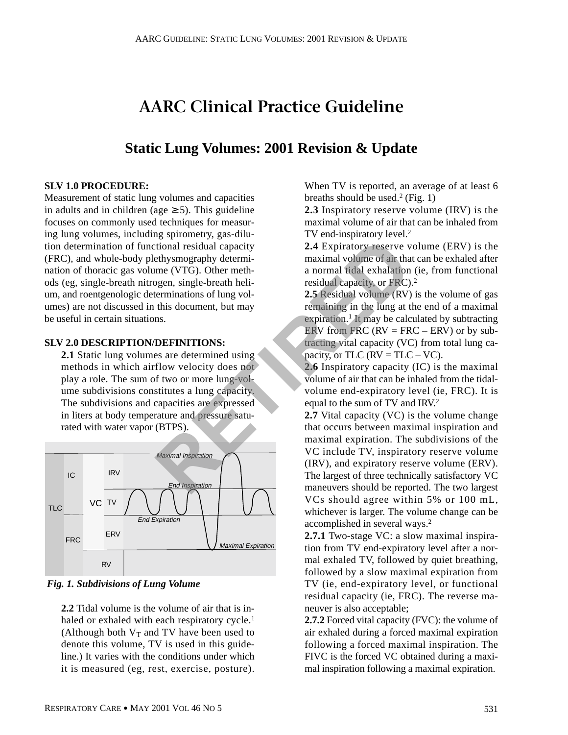# **AARC Clinical Practice Guideline**

## **Static Lung Volumes: 2001 Revision & Update**

#### **SLV 1.0 PROCEDURE:**

Measurement of static lung volumes and capacities in adults and in children (age  $\geq$  5). This guideline focuses on commonly used techniques for measuring lung volumes, including spirometry, gas-dilution determination of functional residual capacity (FRC), and whole-body plethysmography determination of thoracic gas volume (VTG). Other methods (eg, single-breath nitrogen, single-breath helium, and roentgenologic determinations of lung volumes) are not discussed in this document, but may be useful in certain situations.

## **SLV 2.0 DESCRIPTION/DEFINITIONS:**

**2.1** Static lung volumes are determined using methods in which airflow velocity does not play a role. The sum of two or more lung-volume subdivisions constitutes a lung capacity. The subdivisions and capacities are expressed in liters at body temperature and pressure saturated with water vapor (BTPS).



*Fig. 1. Subdivisions of Lung Volume*

**2.2** Tidal volume is the volume of air that is inhaled or exhaled with each respiratory cycle.<sup>1</sup> (Although both  $V_T$  and TV have been used to denote this volume, TV is used in this guideline.) It varies with the conditions under which it is measured (eg, rest, exercise, posture).

When TV is reported, an average of at least 6 breaths should be used.<sup>2</sup> (Fig. 1)

**2.3** Inspiratory reserve volume (IRV) is the maximal volume of air that can be inhaled from TV end-inspiratory level.<sup>2</sup>

**2.4** Expiratory reserve volume (ERV) is the maximal volume of air that can be exhaled after a normal tidal exhalation (ie, from functional residual capacity, or FRC).2

**2.5** Residual volume (RV) is the volume of gas remaining in the lung at the end of a maximal expiration.<sup>1</sup> It may be calculated by subtracting ERV from FRC ( $RV = FRC - ERV$ ) or by subtracting vital capacity (VC) from total lung capacity, or TLC ( $RV = TLC - VC$ ).

**2.6** Inspiratory capacity (IC) is the maximal volume of air that can be inhaled from the tidalvolume end-expiratory level (ie, FRC). It is equal to the sum of TV and IRV.<sup>2</sup>

**2.7** Vital capacity (VC) is the volume change that occurs between maximal inspiration and maximal expiration. The subdivisions of the VC include TV, inspiratory reserve volume (IRV), and expiratory reserve volume (ERV). The largest of three technically satisfactory VC maneuvers should be reported. The two largest VCs should agree within 5% or 100 mL, whichever is larger. The volume change can be accomplished in several ways.2 From the Maximal Inspiration<br>
Maximal Inspiration<br> **RETIRED EXECUTE:**<br>
REPUTED CONDINET TO NOTE THAT A REPUTABLY PERCEPTINT TONS:<br>
The communities of lung volume of air that a normal tidal exhalation<br>
ns.<br> **REPINITIONS:**<br>

> **2.7.1** Two-stage VC: a slow maximal inspiration from TV end-expiratory level after a normal exhaled TV, followed by quiet breathing, followed by a slow maximal expiration from TV (ie, end-expiratory level, or functional residual capacity (ie, FRC). The reverse maneuver is also acceptable;

> **2.7.2** Forced vital capacity (FVC): the volume of air exhaled during a forced maximal expiration following a forced maximal inspiration. The FIVC is the forced VC obtained during a maximal inspiration following a maximal expiration.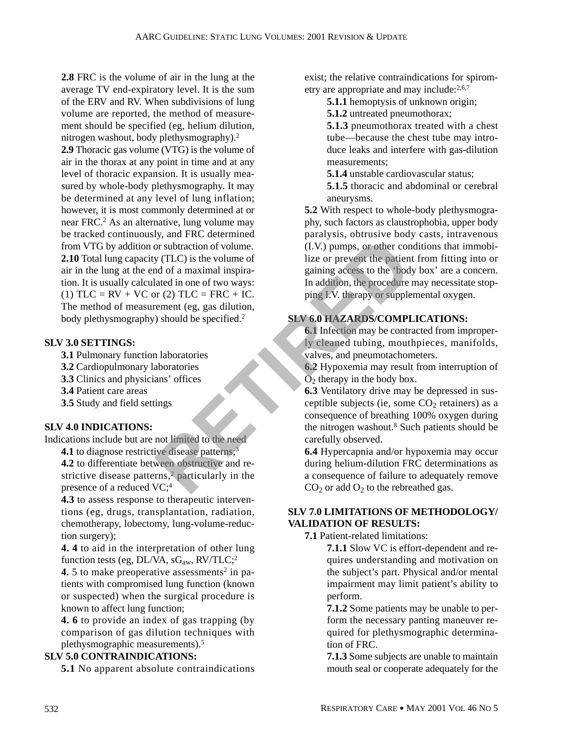**2.8** FRC is the volume of air in the lung at the average TV end-expiratory level. It is the sum of the ERV and RV. When subdivisions of lung volume are reported, the method of measurement should be specified (eg, helium dilution, nitrogen washout, body plethysmography).2

**2.9** Thoracic gas volume (VTG) is the volume of air in the thorax at any point in time and at any level of thoracic expansion. It is usually measured by whole-body plethysmography. It may be determined at any level of lung inflation; however, it is most commonly determined at or near FRC.2 As an alternative, lung volume may be tracked continuously, and FRC determined from VTG by addition or subtraction of volume. **2.10** Total lung capacity (TLC) is the volume of air in the lung at the end of a maximal inspiration. It is usually calculated in one of two ways: (1)  $TLC = RV + VC$  or (2)  $TLC = FRC + IC$ . The method of measurement (eg, gas dilution, body plethysmography) should be specified.<sup>2</sup> For subtraction of volume.<br>
The volume of the volume of the volume of the volume of the volume of the value of a maximal inspiral<br>
ated in one of two ways: In addition, the procedure of two ways:<br>
The addition, the procedu

## **SLV 3.0 SETTINGS:**

- **3.1** Pulmonary function laboratories
- **3.2** Cardiopulmonary laboratories
- **3.3** Clinics and physicians' offices
- **3.4** Patient care areas
- **3.5** Study and field settings

#### **SLV 4.0 INDICATIONS:**

Indications include but are not limited to the need

**4.1** to diagnose restrictive disease patterns;<sup>3</sup> **4.2** to differentiate between obstructive and re-

strictive disease patterns,<sup>2</sup> particularly in the presence of a reduced VC;<sup>4</sup>

**4.3** to assess response to therapeutic interventions (eg, drugs, transplantation, radiation, chemotherapy, lobectomy, lung-volume-reduction surgery);

**4. 4** to aid in the interpretation of other lung function tests (eg, DL/VA,  $sG_{aw}$ , RV/TLC;<sup>2</sup>

**4.** 5 to make preoperative assessments<sup>2</sup> in patients with compromised lung function (known or suspected) when the surgical procedure is known to affect lung function;

**4. 6** to provide an index of gas trapping (by comparison of gas dilution techniques with plethysmographic measurements).5

## **SLV 5.0 CONTRAINDICATIONS:**

**5.1** No apparent absolute contraindications

exist; the relative contraindications for spirometry are appropriate and may include:<sup>2,6,7</sup>

- **5.1.1** hemoptysis of unknown origin;
- **5.1.2** untreated pneumothorax;

**5.1.3** pneumothorax treated with a chest tube—because the chest tube may introduce leaks and interfere with gas-dilution measurements;

**5.1.4** unstable cardiovascular status;

**5.1.5** thoracic and abdominal or cerebral aneurysms.

**5.2** With respect to whole-body plethysmography, such factors as claustrophobia, upper body paralysis, obtrusive body casts, intravenous (I.V.) pumps, or other conditions that immobilize or prevent the patient from fitting into or gaining access to the 'body box' are a concern. In addition, the procedure may necessitate stopping I.V. therapy or supplemental oxygen.

## **SLV 6.0 HAZARDS/COMPLICATIONS:**

**6.1** Infection may be contracted from improperly cleaned tubing, mouthpieces, manifolds, valves, and pneumotachometers.

**6.2** Hypoxemia may result from interruption of  $\overline{O}_2$  therapy in the body box.

**6.3** Ventilatory drive may be depressed in susceptible subjects (ie, some  $CO<sub>2</sub>$  retainers) as a consequence of breathing 100% oxygen during the nitrogen washout.<sup>8</sup> Such patients should be carefully observed.

**6.4** Hypercapnia and/or hypoxemia may occur during helium-dilution FRC determinations as a consequence of failure to adequately remove  $CO<sub>2</sub>$  or add  $O<sub>2</sub>$  to the rebreathed gas.

## **SLV 7.0 LIMITATIONS OF METHODOLOGY/ VALIDATION OF RESULTS:**

**7.1** Patient-related limitations:

**7.1.1** Slow VC is effort-dependent and requires understanding and motivation on the subject's part. Physical and/or mental impairment may limit patient's ability to perform.

**7.1.2** Some patients may be unable to perform the necessary panting maneuver required for plethysmographic determination of FRC.

**7.1.3** Some subjects are unable to maintain mouth seal or cooperate adequately for the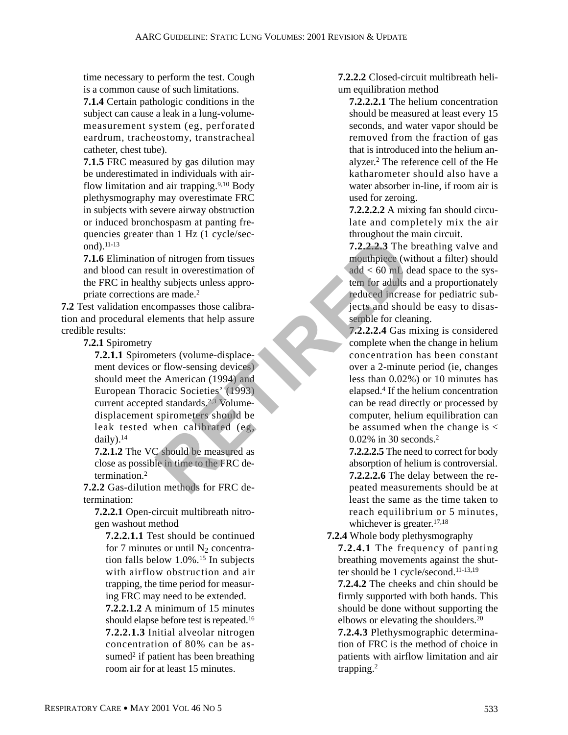time necessary to perform the test. Cough is a common cause of such limitations.

**7.1.4** Certain pathologic conditions in the subject can cause a leak in a lung-volumemeasurement system (eg, perforated eardrum, tracheostomy, transtracheal catheter, chest tube).

**7.1.5** FRC measured by gas dilution may be underestimated in individuals with airflow limitation and air trapping. $9,10$  Body plethysmography may overestimate FRC in subjects with severe airway obstruction or induced bronchospasm at panting frequencies greater than 1 Hz (1 cycle/second).11-13

**7.1.6** Elimination of nitrogen from tissues and blood can result in overestimation of the FRC in healthy subjects unless appropriate corrections are made.2

**7.2** Test validation encompasses those calibration and procedural elements that help assure credible results:

**7.2.1** Spirometry

**7.2.1.1** Spirometers (volume-displacement devices or flow-sensing devices) should meet the American (1994) and European Thoracic Societies' (1993) current accepted standards.<sup>2,3</sup> Volumedisplacement spirometers should be leak tested when calibrated (eg, daily). $14$ T.2,2,2,3 The lot in overestimation of<br>
sult in overestimation of<br>
and example the monthpiece (wideo of add  $\lt 60$  mL d<br>
are made.<sup>2</sup><br>
centures in the passure<br>
compasses those calibra-<br>
example the force lead increase<br>
on

**7.2.1.2** The VC should be measured as close as possible in time to the FRC determination.2

**7.2.2** Gas-dilution methods for FRC determination:

**7.2.2.1** Open-circuit multibreath nitrogen washout method

**7.2.2.1.1** Test should be continued for 7 minutes or until  $N_2$  concentration falls below 1.0%.<sup>15</sup> In subjects with airflow obstruction and air trapping, the time period for measuring FRC may need to be extended.

**7.2.2.1.2** A minimum of 15 minutes should elapse before test is repeated.16 **7.2.2.1.3** Initial alveolar nitrogen concentration of 80% can be assumed $2$  if patient has been breathing room air for at least 15 minutes.

**7.2.2.2** Closed-circuit multibreath helium equilibration method

**7.2.2.2.1** The helium concentration should be measured at least every 15 seconds, and water vapor should be removed from the fraction of gas that is introduced into the helium analyzer.2 The reference cell of the He katharometer should also have a water absorber in-line, if room air is used for zeroing.

**7.2.2.2.2** A mixing fan should circulate and completely mix the air throughout the main circuit.

**7.2.2.2.3** The breathing valve and mouthpiece (without a filter) should add < 60 mL dead space to the system for adults and a proportionately reduced increase for pediatric subjects and should be easy to disassemble for cleaning.

**7.2.2.2.4** Gas mixing is considered complete when the change in helium concentration has been constant over a 2-minute period (ie, changes less than 0.02%) or 10 minutes has elapsed.4 If the helium concentration can be read directly or processed by computer, helium equilibration can be assumed when the change is  $\lt$ 0.02% in 30 seconds.2

**7.2.2.2.5** The need to correct for body absorption of helium is controversial. **7.2.2.2.6** The delay between the repeated measurements should be at least the same as the time taken to reach equilibrium or 5 minutes, whichever is greater.<sup>17,18</sup>

**7.2.4** Whole body plethysmography

**7.2.4.1** The frequency of panting breathing movements against the shutter should be 1 cycle/second.11-13,19 **7.2.4.2** The cheeks and chin should be firmly supported with both hands. This should be done without supporting the elbows or elevating the shoulders.20 **7.2.4.3** Plethysmographic determina-

tion of FRC is the method of choice in patients with airflow limitation and air trapping.2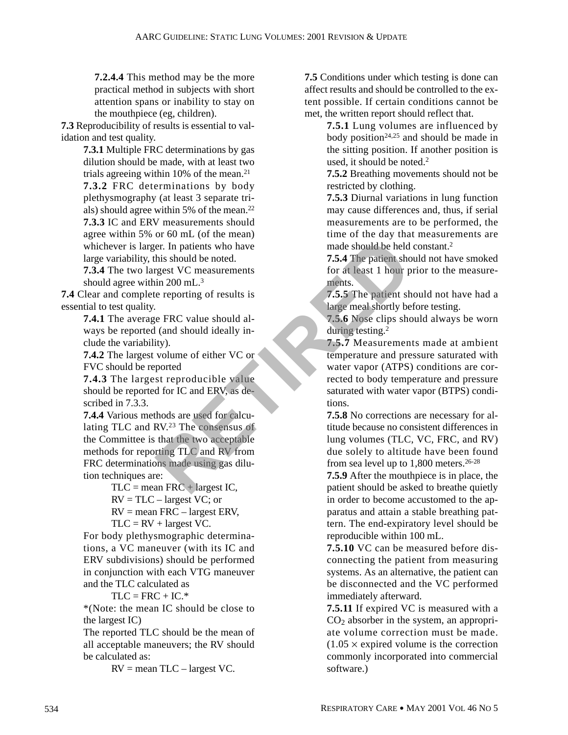**7.2.4.4** This method may be the more practical method in subjects with short attention spans or inability to stay on the mouthpiece (eg, children).

**7.3** Reproducibility of results is essential to validation and test quality.

> **7.3.1** Multiple FRC determinations by gas dilution should be made, with at least two trials agreeing within 10% of the mean.21 **7.3.2** FRC determinations by body plethysmography (at least 3 separate trials) should agree within 5% of the mean.22 **7.3.3** IC and ERV measurements should agree within 5% or 60 mL (of the mean) whichever is larger. In patients who have large variability, this should be noted.

**7.3.4** The two largest VC measurements should agree within 200 mL.3

**7.4** Clear and complete reporting of results is essential to test quality.

**7.4.1** The average FRC value should always be reported (and should ideally include the variability).

**7.4.2** The largest volume of either VC or FVC should be reported

**7.4.3** The largest reproducible value should be reported for IC and ERV, as described in 7.3.3.

**7.4.4** Various methods are used for calculating TLC and RV.23 The consensus of the Committee is that the two acceptable methods for reporting TLC and RV from FRC determinations made using gas dilution techniques are: For a mate should be noted.<br>
For a mate should be noted.<br>
T.5.4 The patients should be noted.<br>
In 200 mL.<sup>3</sup><br>
in 200 mL.<sup>3</sup><br>
in 200 mL.<sup>3</sup><br>
in a ments.<br>
FRC value should al-<br>
(and should ideally in-<br>
thous ments of at leas

 $TLC =$  mean  $FRC +$  largest IC,  $RV = TLC - largest VC; or$  $RV =$  mean  $FRC -$  largest ERV,  $TLC = RV + largest VC$ .

For body plethysmographic determinations, a VC maneuver (with its IC and ERV subdivisions) should be performed in conjunction with each VTG maneuver and the TLC calculated as

 $TLC = FRC + IC.*$ 

\*(Note: the mean IC should be close to the largest IC)

The reported TLC should be the mean of all acceptable maneuvers; the RV should be calculated as:

 $RV =$  mean TLC – largest VC.

**7.5** Conditions under which testing is done can affect results and should be controlled to the extent possible. If certain conditions cannot be met, the written report should reflect that.

> **7.5.1** Lung volumes are influenced by body position<sup>24,25</sup> and should be made in the sitting position. If another position is used, it should be noted.<sup>2</sup>

> **7.5.2** Breathing movements should not be restricted by clothing.

> **7.5.3** Diurnal variations in lung function may cause differences and, thus, if serial measurements are to be performed, the time of the day that measurements are made should be held constant.2

> **7.5.4** The patient should not have smoked for at least 1 hour prior to the measurements.

> **7.5.5** The patient should not have had a large meal shortly before testing.

**7.5.6** Nose clips should always be worn during testing.2

**7.5.7** Measurements made at ambient temperature and pressure saturated with water vapor (ATPS) conditions are corrected to body temperature and pressure saturated with water vapor (BTPS) conditions.

**7.5.8** No corrections are necessary for altitude because no consistent differences in lung volumes (TLC, VC, FRC, and RV) due solely to altitude have been found from sea level up to 1,800 meters.26-28

**7.5.9** After the mouthpiece is in place, the patient should be asked to breathe quietly in order to become accustomed to the apparatus and attain a stable breathing pattern. The end-expiratory level should be reproducible within 100 mL.

**7.5.10** VC can be measured before disconnecting the patient from measuring systems. As an alternative, the patient can be disconnected and the VC performed immediately afterward.

**7.5.11** If expired VC is measured with a  $CO<sub>2</sub>$  absorber in the system, an appropriate volume correction must be made.  $(1.05 \times$  expired volume is the correction commonly incorporated into commercial software.)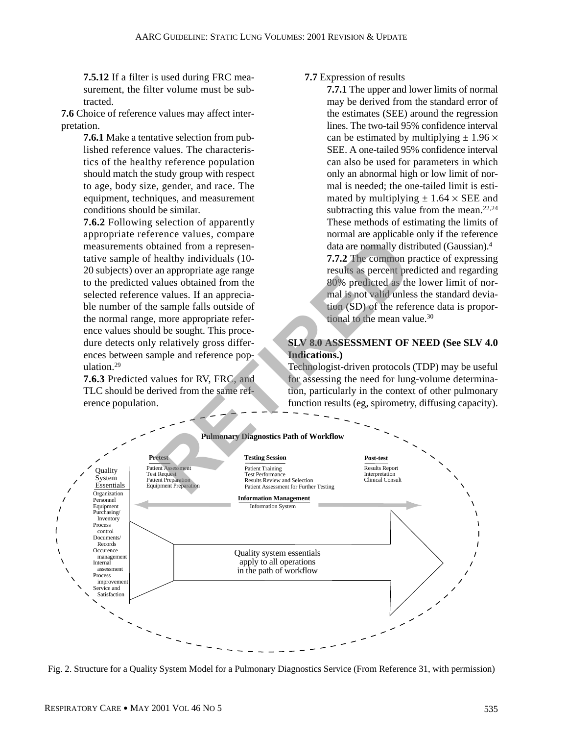**7.5.12** If a filter is used during FRC measurement, the filter volume must be subtracted.

**7.6** Choice of reference values may affect interpretation.

> **7.6.1** Make a tentative selection from published reference values. The characteristics of the healthy reference population should match the study group with respect to age, body size, gender, and race. The equipment, techniques, and measurement conditions should be similar.

> **7.6.2** Following selection of apparently appropriate reference values, compare measurements obtained from a representative sample of healthy individuals (10- 20 subjects) over an appropriate age range to the predicted values obtained from the selected reference values. If an appreciable number of the sample falls outside of the normal range, more appropriate reference values should be sought. This procedure detects only relatively gross differences between sample and reference population.29

> **7.6.3** Predicted values for RV, FRC, and TLC should be derived from the same reference population.

## **7.7** Expression of results

**7.7.1** The upper and lower limits of normal may be derived from the standard error of the estimates (SEE) around the regression lines. The two-tail 95% confidence interval can be estimated by multiplying  $\pm$  1.96  $\times$ SEE. A one-tailed 95% confidence interval can also be used for parameters in which only an abnormal high or low limit of normal is needed; the one-tailed limit is estimated by multiplying  $\pm$  1.64  $\times$  SEE and subtracting this value from the mean.<sup>22,24</sup> These methods of estimating the limits of normal are applicable only if the reference data are normally distributed (Gaussian).4 **7.7.2** The common practice of expressing results as percent predicted and regarding 80% predicted as the lower limit of normal is not valid unless the standard deviation (SD) of the reference data is proportional to the mean value.30

## **SLV 8.0 ASSESSMENT OF NEED (See SLV 4.0 Indications.)**

Technologist-driven protocols (TDP) may be useful for assessing the need for lung-volume determination, particularly in the context of other pulmonary function results (eg, spirometry, diffusing capacity).



Fig. 2. Structure for a Quality System Model for a Pulmonary Diagnostics Service (From Reference 31, with permission)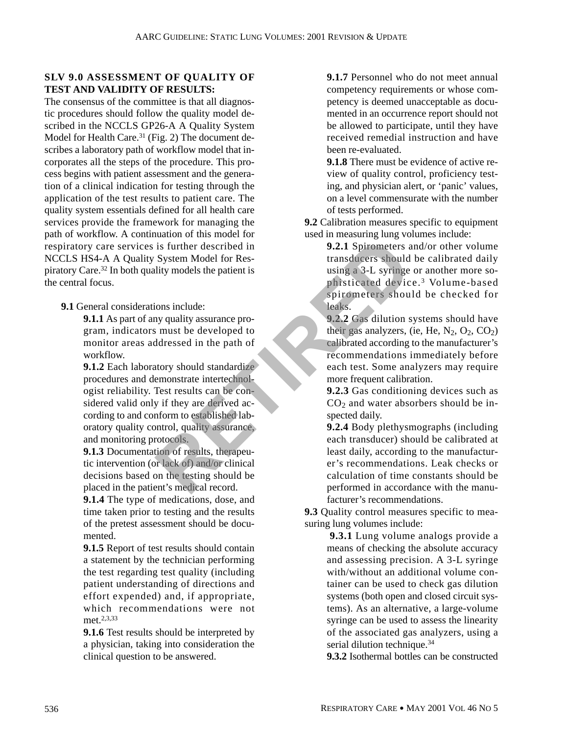## **SLV 9.0 ASSESSMENT OF QUALITY OF TEST AND VALIDITY OF RESULTS:**

The consensus of the committee is that all diagnostic procedures should follow the quality model described in the NCCLS GP26-A A Quality System Model for Health Care.<sup>31</sup> (Fig. 2) The document describes a laboratory path of workflow model that incorporates all the steps of the procedure. This process begins with patient assessment and the generation of a clinical indication for testing through the application of the test results to patient care. The quality system essentials defined for all health care services provide the framework for managing the path of workflow. A continuation of this model for respiratory care services is further described in NCCLS HS4-A A Quality System Model for Respiratory Care.32 In both quality models the patient is the central focus.

**9.1** General considerations include:

**9.1.1** As part of any quality assurance program, indicators must be developed to monitor areas addressed in the path of workflow.

**9.1.2** Each laboratory should standardize procedures and demonstrate intertechnologist reliability. Test results can be considered valid only if they are derived according to and conform to established laboratory quality control, quality assurance, and monitoring protocols. Fig. 1.1 Spiral and Model for Responsible to the patient is<br>
System Model for Responsible to the patient is<br>
ting a 3-L syring phisticated device<br>
ting a 3-L syring phisticated device<br>
ting a 3-L syring phisticated device<br>

**9.1.3** Documentation of results, therapeutic intervention (or lack of) and/or clinical decisions based on the testing should be placed in the patient's medical record.

**9.1.4** The type of medications, dose, and time taken prior to testing and the results of the pretest assessment should be documented.

**9.1.5** Report of test results should contain a statement by the technician performing the test regarding test quality (including patient understanding of directions and effort expended) and, if appropriate, which recommendations were not met.2,3,33

**9.1.6** Test results should be interpreted by a physician, taking into consideration the clinical question to be answered.

**9.1.7** Personnel who do not meet annual competency requirements or whose competency is deemed unacceptable as documented in an occurrence report should not be allowed to participate, until they have received remedial instruction and have been re-evaluated.

**9.1.8** There must be evidence of active review of quality control, proficiency testing, and physician alert, or 'panic' values, on a level commensurate with the number of tests performed.

**9.2** Calibration measures specific to equipment used in measuring lung volumes include:

> **9.2.1** Spirometers and/or other volume transducers should be calibrated daily using a 3-L syringe or another more sophisticated device. <sup>3</sup> Volume-based spirometers should be checked for leaks.

> **9.2.2** Gas dilution systems should have their gas analyzers, (ie, He,  $N_2$ ,  $O_2$ ,  $CO_2$ ) calibrated according to the manufacturer's recommendations immediately before each test. Some analyzers may require more frequent calibration.

> **9.2.3** Gas conditioning devices such as  $CO<sub>2</sub>$  and water absorbers should be inspected daily.

> **9.2.4** Body plethysmographs (including each transducer) should be calibrated at least daily, according to the manufacturer's recommendations. Leak checks or calculation of time constants should be performed in accordance with the manufacturer's recommendations.

**9.3** Quality control measures specific to measuring lung volumes include:

> **9.3.1** Lung volume analogs provide a means of checking the absolute accuracy and assessing precision. A 3-L syringe with/without an additional volume container can be used to check gas dilution systems (both open and closed circuit systems). As an alternative, a large-volume syringe can be used to assess the linearity of the associated gas analyzers, using a serial dilution technique.<sup>34</sup>

> **9.3.2** Isothermal bottles can be constructed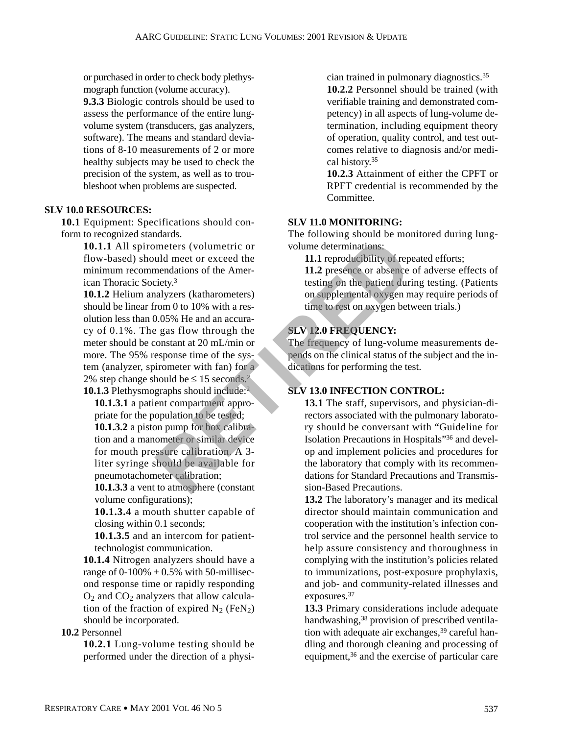or purchased in order to check body plethysmograph function (volume accuracy).

**9.3.3** Biologic controls should be used to assess the performance of the entire lungvolume system (transducers, gas analyzers, software). The means and standard deviations of 8-10 measurements of 2 or more healthy subjects may be used to check the precision of the system, as well as to troubleshoot when problems are suspected.

#### **SLV 10.0 RESOURCES:**

**10.1** Equipment: Specifications should conform to recognized standards.

> **10.1.1** All spirometers (volumetric or flow-based) should meet or exceed the minimum recommendations of the American Thoracic Society.3

**10.1.2** Helium analyzers (katharometers) should be linear from 0 to 10% with a resolution less than 0.05% He and an accuracy of 0.1%. The gas flow through the meter should be constant at 20 mL/min or more. The 95% response time of the system (analyzer, spirometer with fan) for a 2% step change should be  $\leq 15$  seconds.<sup>2</sup> **10.1.3** Plethysmographs should include:<sup>2</sup> meters (volumetric or<br>
uld meet or exceed the<br>
mendations of the Amer-<br>
intersection of the Amer-<br>
intersection of the Amer-<br>
intersection of the Amer-<br>
11.2 presence or absence<br>
testing on the patient duri<br>
andyzers (kath

**10.1.3.1** a patient compartment appropriate for the population to be tested; **10.1.3.2** a piston pump for box calibration and a manometer or similar device for mouth pressure calibration. A 3 liter syringe should be available for pneumotachometer calibration;

**10.1.3.3** a vent to atmosphere (constant volume configurations);

**10.1.3.4** a mouth shutter capable of closing within 0.1 seconds;

**10.1.3.5** and an intercom for patienttechnologist communication.

**10.1.4** Nitrogen analyzers should have a range of 0-100%  $\pm$  0.5% with 50-millisecond response time or rapidly responding  $O_2$  and  $CO_2$  analyzers that allow calculation of the fraction of expired  $N_2$  (FeN<sub>2</sub>) should be incorporated.

## **10.2** Personnel

**10.2.1** Lung-volume testing should be performed under the direction of a physician trained in pulmonary diagnostics.35

**10.2.2** Personnel should be trained (with verifiable training and demonstrated competency) in all aspects of lung-volume determination, including equipment theory of operation, quality control, and test outcomes relative to diagnosis and/or medical history.35

**10.2.3** Attainment of either the CPFT or RPFT credential is recommended by the Committee.

## **SLV 11.0 MONITORING:**

The following should be monitored during lungvolume determinations:

**11.1** reproducibility of repeated efforts;

**11.2** presence or absence of adverse effects of testing on the patient during testing. (Patients on supplemental oxygen may require periods of time to rest on oxygen between trials.)

## **SLV 12.0 FREQUENCY:**

The frequency of lung-volume measurements depends on the clinical status of the subject and the indications for performing the test.

## **SLV 13.0 INFECTION CONTROL:**

**13.1** The staff, supervisors, and physician-directors associated with the pulmonary laboratory should be conversant with "Guideline for Isolation Precautions in Hospitals"36 and develop and implement policies and procedures for the laboratory that comply with its recommendations for Standard Precautions and Transmission-Based Precautions.

**13.2** The laboratory's manager and its medical director should maintain communication and cooperation with the institution's infection control service and the personnel health service to help assure consistency and thoroughness in complying with the institution's policies related to immunizations, post-exposure prophylaxis, and job- and community-related illnesses and exposures.37

**13.3** Primary considerations include adequate handwashing,<sup>38</sup> provision of prescribed ventilation with adequate air exchanges,<sup>39</sup> careful handling and thorough cleaning and processing of equipment,36 and the exercise of particular care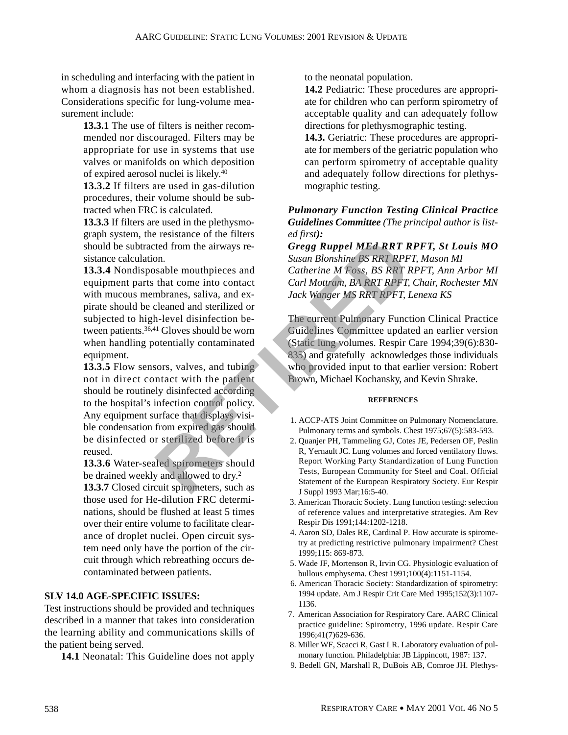in scheduling and interfacing with the patient in whom a diagnosis has not been established. Considerations specific for lung-volume measurement include:

> **13.3.1** The use of filters is neither recommended nor discouraged. Filters may be appropriate for use in systems that use valves or manifolds on which deposition of expired aerosol nuclei is likely.40

> **13.3.2** If filters are used in gas-dilution procedures, their volume should be subtracted when FRC is calculated.

> **13.3.3** If filters are used in the plethysmograph system, the resistance of the filters should be subtracted from the airways resistance calculation.

> **13.3.4** Nondisposable mouthpieces and equipment parts that come into contact with mucous membranes, saliva, and expirate should be cleaned and sterilized or subjected to high-level disinfection between patients.36,41 Gloves should be worn when handling potentially contaminated equipment.

**13.3.5** Flow sensors, valves, and tubing not in direct contact with the patient should be routinely disinfected according to the hospital's infection control policy. Any equipment surface that displays visible condensation from expired gas should be disinfected or sterilized before it is reused. Exam Blonshine BS RRT RP<br>
For the divining Eq. Contact<br>
Susan Blonshine BS RRT RPF<br>
Susan Blonshine BS RRT RPF<br>
that come into contact<br>
that come into contact<br>
Carl Mottram, BA RRT RPFT, Informas, saliva, and ex<br>
If Cloves

**13.3.6** Water-sealed spirometers should be drained weekly and allowed to dry.<sup>2</sup>

**13.3.7** Closed circuit spirometers, such as those used for He-dilution FRC determinations, should be flushed at least 5 times over their entire volume to facilitate clearance of droplet nuclei. Open circuit system need only have the portion of the circuit through which rebreathing occurs decontaminated between patients.

## **SLV 14.0 AGE-SPECIFIC ISSUES:**

Test instructions should be provided and techniques described in a manner that takes into consideration the learning ability and communications skills of the patient being served.

**14.1** Neonatal: This Guideline does not apply

to the neonatal population.

**14.2** Pediatric: These procedures are appropriate for children who can perform spirometry of acceptable quality and can adequately follow directions for plethysmographic testing.

**14.3.** Geriatric: These procedures are appropriate for members of the geriatric population who can perform spirometry of acceptable quality and adequately follow directions for plethysmographic testing.

### *Pulmonary Function Testing Clinical Practice Guidelines Committee (The principal author is listed first):*

*Gregg Ruppel MEd RRT RPFT, St Louis MO Susan Blonshine BS RRT RPFT, Mason MI Catherine M Foss, BS RRT RPFT, Ann Arbor MI Carl Mottram, BA RRT RPFT, Chair, Rochester MN Jack Wanger MS RRT RPFT, Lenexa KS*

The current Pulmonary Function Clinical Practice Guidelines Committee updated an earlier version (Static lung volumes. Respir Care 1994;39(6):830- 835) and gratefully acknowledges those individuals who provided input to that earlier version: Robert Brown, Michael Kochansky, and Kevin Shrake.

#### **REFERENCES**

- 1. ACCP-ATS Joint Committee on Pulmonary Nomenclature. Pulmonary terms and symbols. Chest 1975;67(5):583-593.
- 2. Quanjer PH, Tammeling GJ, Cotes JE, Pedersen OF, Peslin R, Yernault JC. Lung volumes and forced ventilatory flows. Report Working Party Standardization of Lung Function Tests, European Community for Steel and Coal. Official Statement of the European Respiratory Society. Eur Respir J Suppl 1993 Mar;16:5-40.
- 3. American Thoracic Society. Lung function testing: selection of reference values and interpretative strategies. Am Rev Respir Dis 1991;144:1202-1218.
- 4. Aaron SD, Dales RE, Cardinal P. How accurate is spirometry at predicting restrictive pulmonary impairment? Chest 1999;115: 869-873.
- 5. Wade JF, Mortenson R, Irvin CG. Physiologic evaluation of bullous emphysema. Chest 1991;100(4):1151-1154.
- 6. American Thoracic Society: Standardization of spirometry: 1994 update. Am J Respir Crit Care Med 1995;152(3):1107- 1136.
- 7. American Association for Respiratory Care. AARC Clinical practice guideline: Spirometry, 1996 update. Respir Care 1996;41(7)629-636.
- 8. Miller WF, Scacci R, Gast LR. Laboratory evaluation of pulmonary function. Philadelphia: JB Lippincott, 1987: 137.
- 9. Bedell GN, Marshall R, DuBois AB, Comroe JH. Plethys-